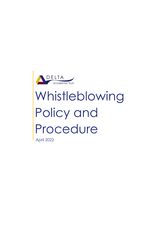

# Whistleblowing Policy and Procedure

April 2022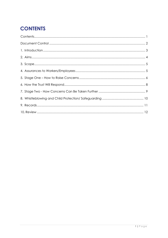# <span id="page-1-0"></span>**CONTENTS**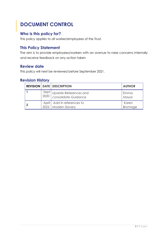## <span id="page-2-0"></span>**DOCUMENT CONTROL**

## **Who is this policy for?**

This policy applies to all worker/employees of the Trust.

## **This Policy Statement**

The aim is to provide employees/workers with an avenue to raise concerns internally and receive feedback on any action taken

## **Review date**

This policy will next be reviewed before September 2021.

## **Revision History**

|      | <b>REVISION   DATE   DESCRIPTION</b>                | <b>AUTHOR</b>           |
|------|-----------------------------------------------------|-------------------------|
| 2020 | Sept Update References and<br>consolidate Guidance  | Emma<br>Mayor           |
|      | April Add in references to<br>2022   Modern Slavery | Karen<br><b>Bromage</b> |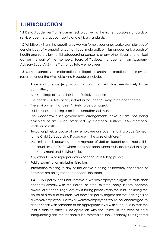## <span id="page-3-0"></span>**1. INTRODUCTION**

**1.1** Delta Academies Trust is committed to achieving the highest possible standards of service, openness, accountability and ethical standards.

**1.2** Whistleblowing is the reporting by workers/employees or ex-workers/employees of certain types of wrongdoing such as fraud, malpractice, mismanagement, breach of health and safety law, child safeguarding concerns or any other illegal or unethical act on the part of the Members, Board of Trustees, management, an Academy Advisory Body (AAB), the Trust or by fellow employees.

**1.3** Some examples of malpractice or illegal or unethical practice that may be reported under the Whistleblowing Procedure include:

- A criminal offence (e.g. fraud, corruption or theft) has been/is likely to be committed;
- A miscarriage of justice has been/is likely to occur;
- The health or safety of any individual has been/is likely to be endangered;
- The environment has been/is likely to be damaged;
- Public funds are being used in an unauthorised manner;
- The Academy/Trust's governance arrangements have or are not being observed or are being breached by members, Trustees, AAB members, students or staff;
- Sexual or physical abuse of any employee or student is taking place (subject to the Child Safeguarding Procedure in the case of children);
- Discrimination is occurring to any member of staff or student as defined within the Equalities Act 2010 (where it has not been successfully addressed through the Harassment and Bullying Policy);
- Any other form of improper action or conduct is taking place;
- Public examination maladministration;
- Information relating to any of the above is being deliberately concealed or attempts are being made to conceal the same.

**1.4** This policy does not remove a worker/employee's rights to raise their concerns directly with the Police, or other external body, if they become aware, or suspect, illegal activity is taking place within the Trust, including the abuse of a child or children. Nor does this policy negate the statutory rights of a worker/employee. However workers/employees would be encouraged to also raise this with someone at an appropriate level within the Trust so that the Trust is able to offer full co-operation with the Police. In the case of child safeguarding this matter should be referred to the Academy's Designated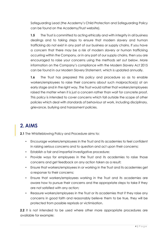Safeguarding Lead (the Academy's Child Protection and Safeguarding Policy can be found on the Academy/Trust website).

**1.5** The Trust is committed to acting ethically and with integrity in all business dealings and to taking steps to ensure that modern slavery and human trafficking do not exist in any part of our business or supply chains. If you have a concern that there may be a risk of modern slavery or human trafficking occurring within the Company, or in any part of our supply chains, then you are encouraged to raise your concerns using the methods set out below. More information on the Company's compliance with the Modern Slavery Act 2015 can be found in our Modern Slavery Statement, which is updated annually.

**1.6** The Trust has prepared this policy and procedure so as to enable workers/employees to raise their concerns about such malpractice(s) at an early stage and in the right way. The Trust would rather that workers/employees raised the matter when it is just a concern rather than wait for concrete proof. This policy is intended to cover concerns which fall outside the scope of other policies which deal with standards of behaviour at work, including disciplinary, grievance, bullying and harassment policies.

# <span id="page-4-0"></span>**2. AIMS**

**2.1** The Whistleblowing Policy and Procedure aims to:

- Encourage workers/employees in the Trust and its academies to feel confident in raising serious concerns and to question and act upon their concerns;
- Establish a fair and impartial investigative procedure;
- Provide ways for employees in the Trust and its academies to raise those concerns and get feedback on any action taken as a result;
- Ensure that workers/employees in or working in the Trust and its academies get a response to their concerns;
- Ensure that workers/employees working in the Trust and its academies are aware how to pursue their concerns and the appropriate steps to take if they are not satisfied with any action;
- Reassure workers/employees in the Trust or its academies that if they raise any concerns in good faith and reasonably believe them to be true, they will be protected from possible reprisals or victimisation.

**2.2** It is not intended to be used where other more appropriate procedures are available for example: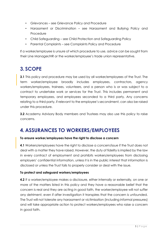- Grievances see Grievance Policy and Procedure
- Harassment or Discrimination see Harassment and Bullying Policy and **Procedure**
- Child Safeguarding see Child Protection and Safeguarding Policy
- Parental Complaints see Complaints Policy and Procedure

If a worker/employee is unsure of which procedure to use, advice can be sought from their Line Manager/HR or the worker/employee's trade union representative.

## <span id="page-5-0"></span>**3. SCOPE**

**3.1** This policy and procedure may be used by all worker/employees of the Trust. The term worker/employee broadly includes employees, contractors, agency workers/employees, trainees, volunteers, and a person who is or was subject to a contract to undertake work or services for the Trust. This includes permanent and temporary employees, and employees seconded to a third party. Any concerns relating to a third party, if relevant to the employee's secondment, can also be raised under this procedure.

**3.2** Academy Advisory Body members and Trustees may also use this policy to raise concerns.

## <span id="page-5-1"></span>**4. ASSURANCES TO WORKERS/EMPLOYEES**

#### **To ensure worker/employees have the right to disclose a concern**

**4.1** Workers/employees have the right to disclose a concern/issue if the Trust does not deal with a matter they have raised. However, the duty of fidelity is implied by the law in every contract of employment and prohibits workers/employees from disclosing employers' confidential information, unless it is in the public interest that information is disclosed or unless the Trust fails to properly consider or deal with the issue.

#### **To protect and safeguard workers/employees**

**4.2** If a worker/employee makes a disclosure, either internally or externally, on one or more of the matters listed in this policy and they have a reasonable belief that the concern is real and they are acting in good faith, the worker/employee will not suffer any detriment, even if after investigation it transpires that the concern is unfounded. The Trust will not tolerate any harassment or victimisation (including informal pressures) and will take appropriate action to protect workers/employees who raise a concern in good faith.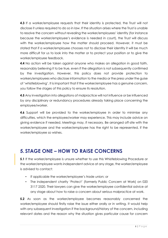**4.3** If a worker/employee requests that their identity is protected, the Trust will not disclose it unless required to do so in law. If the situation arises where the Trust is unable to resolve the concern without revealing the worker/employees' identity (for instance because the worker/employee's evidence is needed in court), the Trust will discuss with the worker/employee how the matter should proceed. However, it must be stated that if a worker/employee chooses not to disclose their identity it will be much more difficult for us to look into the matter or to protect your position or to give the worker/employee feedback.

**4.4** No action will be taken against anyone who makes an allegation in good faith, reasonably believing it to be true, even if the allegation is not subsequently confirmed by the investigation. However, this policy does not provide protection to workers/employees who disclose information to the media or the press under the guise of 'whistleblowing'. It is important that if the worker/employee has a genuine concern, you follow the stages of this policy to ensure its resolution.

**4.5** Any investigation into allegations of malpractice will not influence or be influenced by any disciplinary or redundancy procedures already taking place concerning the employee/worker.

**4.6** Support will be provided to the worker/employee in order to minimise any difficulties, which the employee/worker may experience. This may include advice on giving evidence if needed. Meetings may, if necessary. Be arranged off-site with the worker/employee and the worker/employee has the right to be represented, if the worker/employee so wishes.

## <span id="page-6-0"></span>**5. STAGE ONE – HOW TO RAISE CONCERNS**

**5.1** If the worker/employee is unsure whether to use this Whistleblowing Procedure or the worker/employee wants independent advice at any stage, the worker/employee is advised to contact:

- If applicable the worker/employee's trade union; or
- The independent charity 'Protect' (formerly Public Concern at Work) on 020 3117 2520. Their lawyers can give the worker/employee confidential advice at any stage about how to raise a concern about serious malpractice at work.

**5.2** As soon as the worker/employee becomes reasonably concerned the worker/employee should firstly raise the issue either orally or in writing. It would help with any subsequent investigation if the background/history of the concern, including relevant dates and the reason why the situation gives particular cause for concern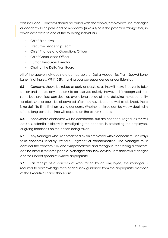was included. Concerns should be raised with the worker/employee's line manager or academy Principal/Head of Academy (unless s/he is the potential transgressor, in which case write to one of the following individuals:

- Chief Executive
- Executive Leadership Team
- Chief Finance and Operations Officer
- Chief Compliance Officer
- Human Resources Director
- Chair of the Delta Trust Board

All of the above individuals are contactable at Delta Academies Trust, Spawd Bone Lane, Knottingley, WF11 0EP, marking your correspondence as confidential.

**5.3** Concerns should be raised as early as possible, as this will make it easier to take action and enable any problems to be resolved quickly. However, it is recognised that some bad practices can develop over a long period of time, delaying the opportunity for disclosure, or could be discovered after they have become well-established. There is no definite time limit on raising concerns. Whether an issue can be viably dealt with after a long period of time will depend on the circumstances.

**5.4** Anonymous disclosures will be considered, but are not encouraged, as this will cause substantial difficulty in investigating the concern, in protecting the employee, or giving feedback on the action being taken.

**5.5** Any Manager who is approached by an employee with a concern must always take concerns seriously, without judgment or condemnation. The Manager must consider the concern fully and sympathetically and recognise that raising a concern can be difficult for some people. Managers can seek advice from their own Manager and/or support specialists where appropriate.

**5.6** On receipt of a concern at work raised by an employee, the manager is required to acknowledge receipt and seek guidance from the appropriate member of the Executive Leadership Team.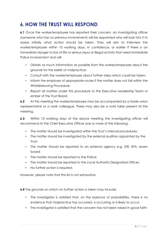## <span id="page-8-0"></span>**6.HOW THE TRUST WILL RESPOND**

**6.1** Once the worker/employee has reported their concern, an investigating officer (someone who has no previous involvement) will be appointed who will look into it to assess initially what action should be taken. They will aim to interview the worker/employee within 10 working days, in confidence, or earlier if there is an immediate danger to loss of life or serious injury or illegal activity that need immediate Police involvement and will:

- Obtain as much information as possible from the worker/employee about the grounds for the belief of malpractice;
- Consult with the worker/employee about further steps which could be taken;
- Inform the employer of appropriate routes if the matter does not fall within the Whistleblowing Procedure;
- Report all matters under this procedure to the Executive Leadership Team or ember of the Trust Board.

**6.2** At this meeting the worker/employee may be accompanied by a trade union representative or a work colleague. There may also be a note taker present at the meeting.

**6.3** Within 10 working days of the above meeting the investigating officer will recommend to the Chief Executive Officer one or more of the following:

- The matter should be investigated within the Trust's internal procedures;
- The matter should be investigated by the external auditors appointed by the Trust;
- The matter should be reported to an external agency e.g. DfE, EFA, exam board;
- The matter should be reported to the Police;
- The matter should be reported to the Local Authority Designated Officer;
- No further action is required.

However, please note that this list is not exhaustive.

**6.4** The grounds on which no further action is taken may include:

- The investigator is satisfied that, on the balance of probabilities, there is no evidence that malpractice has occurred, is occurring or is likely to occur;
- The investigator is satisfied that the concern has not been raised in good faith;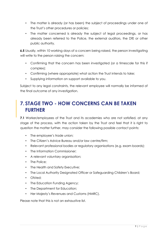- The matter is already (or has been) the subject of proceedings under one of the Trust's other procedures or policies;
- The matter concerned is already the subject of legal proceedings, or has already been referred to the Police, the external auditors, the DfE or other public authority.

**6.5** Usually, within 10 working days of a concern being raised, the person investigating will write to the person raising the concern:

- Confirming that the concern has been investigated (or a timescale for this if complex);
- Confirming (where appropriate) what action the Trust intends to take;
- Supplying information on support available to you.

Subject to any legal constraints, the relevant employee will normally be informed of the final outcome of any investigation.

## <span id="page-9-0"></span>**7. STAGE TWO - HOW CONCERNS CAN BE TAKEN FURTHER**

**7.1** Worker/employees of the Trust and its academies who are not satisfied, at any stage of the process, with the action taken by the Trust and feel that it is right to question the matter further, may consider the following possible contact points:

- The employee's trade union;
- The Citizen's Advice Bureau and/or law centre/firm;
- Relevant professional bodies or regulatory organisations (e.g. exam boards);
- The Information Commissioner:
- A relevant voluntary organisation;
- The Police;
- The Health and Safety Executive;
- The Local Authority Designated Officer or Safeguarding Children's Board;
- Ofsted;
- The Education Funding Agency;
- The Department for Education;
- Her Majesty's Revenues and Customs (HMRC).

Please note that this is not an exhaustive list.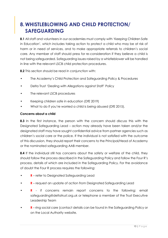## <span id="page-10-0"></span>**8. WHISTLEBLOWING AND CHILD PROTECTION/ SAFEGUARDING**

**8.1** All staff and volunteers in our academies must comply with 'Keeping Children Safe in Education', which includes taking action to protect a child who may be at risk of harm or in need of services, and to make appropriate referrals to children's social care. Any member of staff should press for re-consideration if they believe a child is not being safeguarded. Safeguarding issues raised by a whistleblower will be handled in line with the relevant LSCB child protection procedures.

**8.2** This section should be read in conjunction with:

- The Academy's Child Protection and Safeguarding Policy & Procedures
- Delta Trust 'Dealing with Allegations against Staff' Policy
- The relevant LSCB procedures
- Keeping children safe in education (DfE 2019)
- What to do if you're worried a child is being abused (DfE 2015).

#### **Concerns about a child**

**8.3** In the first instance, the person with the concern should discuss this with the Designated Safeguarding Lead – action may already have been taken and/or the designated staff may have sought confidential advice from partner agencies such as children's social care or the police. If the individual is not satisfied with the outcome of this discussion, they should report their concerns to the Principal/Head of Academy or the nominated safeguarding AAB member.

**8.4** If the individual still has concerns about the safety or welfare of the child, they should follow the process described in the Safeguarding Policy and follow the Four R's process, details of which are included in the Safeguarding Policy. For the avoidance of doubt the Four R process requires the following:

- **R** refer to Designated Safeguarding Lead
- **R** request an update of action from Designated Safeguarding Lead
- **R** if concerns remain report concerns to the following: email safeguarding@deltatrust.org.uk or telephone a member of the Trust Executive Leadership Team
- **R** ring social care (contact details can be found in the Safeguarding Policy or on the Local Authority website.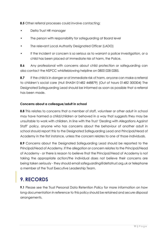**8.5** Other referral processes could involve contacting:

- Delta Trust HR manager
- The person with responsibility for safeguarding at Board level
- The relevant Local Authority Designated Officer (LADO)
- If the incident or concern is so serious as to warrant a police investigation, or a child has been placed at immediate risk of harm, the Police.

**8.6** Any professional with concerns about child protection or safeguarding can also contact the NSPCC whistleblowing helpline on 0800 028 0285.

**8.7** If the child is in danger or at immediate risk of harm, anyone can make a referral to children's social care (Hull EHASH 01482 448879) (Out of hours 01482 300304) The Designated Safeguarding Lead should be informed as soon as possible that a referral has been made.

#### **Concerns about a colleague/adult in school**

**8.8** This relates to concerns that a member of staff, volunteer or other adult in school may have harmed a child/children or behaved in a way that suggests they may be unsuitable to work with children. In line with the Trust 'Dealing with Allegations Against Staff' policy, anyone who has concerns about the behaviour of another adult in school should report this to the Designated Safeguarding Lead and Principal/Head of Academy in the first instance, unless the concern relates to one of those individuals.

**8.9** Concerns about the Designated Safeguarding Lead should be reported to the Principal/Head of Academy. If the allegation or concern relates to the Principal/Head of Academy - or there is reason to believe that the Principal/Head of Academy is not taking the appropriate action/the individual does not believe their concerns are being taken seriously - they should email safeguarding@deltatrust.org.uk or telephone a member of the Trust Executive Leadership Team.

## <span id="page-11-0"></span>**9. RECORDS**

**9.1** Please see the Trust Personal Data Retention Policy for more information on how long documentation in reference to this policy should be retained and secure disposal arrangements.